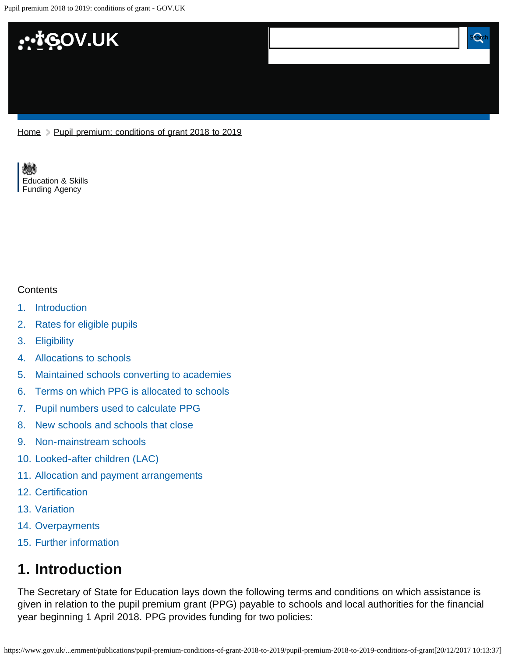

[Home](https://www.gov.uk/) > [Pupil premium: conditions of grant 2018 to 2019](https://www.gov.uk/government/publications/pupil-premium-conditions-of-grant-2018-to-2019)

[Education & Skills](https://www.gov.uk/government/organisations/education-and-skills-funding-agency)  [Funding Agency](https://www.gov.uk/government/organisations/education-and-skills-funding-agency)

#### **Contents**

- [1.](#page-0-0) [Introduction](#page-0-0)
- [2.](#page-1-0) [Rates for eligible pupils](#page-1-0)
- [3.](#page-1-1) [Eligibility](#page-1-1)
- [4.](#page-2-0) [Allocations to schools](#page-2-0)
- [5.](#page-2-1) [Maintained schools converting to academies](#page-2-1)
- [6.](#page-3-0) [Terms on which PPG is allocated to schools](#page-3-0)
- [7.](#page-3-1) [Pupil numbers used to calculate PPG](#page-3-1)
- [8.](#page-3-2) [New schools and schools that close](#page-3-2)
- [9.](#page-4-0) [Non-mainstream schools](#page-4-0)
- [10.](#page-4-1) [Looked-after children \(LAC\)](#page-4-1)
- [11.](#page-5-0) [Allocation and payment arrangements](#page-5-0)
- [12.](#page-5-1) [Certification](#page-5-1)
- [13.](#page-5-2) [Variation](#page-5-2)
- [14.](#page-5-3) [Overpayments](#page-5-3)
- [15.](#page-5-4) [Further information](#page-5-4)

### <span id="page-0-0"></span>**1. Introduction**

The Secretary of State for Education lays down the following terms and conditions on which assistance is given in relation to the pupil premium grant (PPG) payable to schools and local authorities for the financial year beginning 1 April 2018. PPG provides funding for two policies: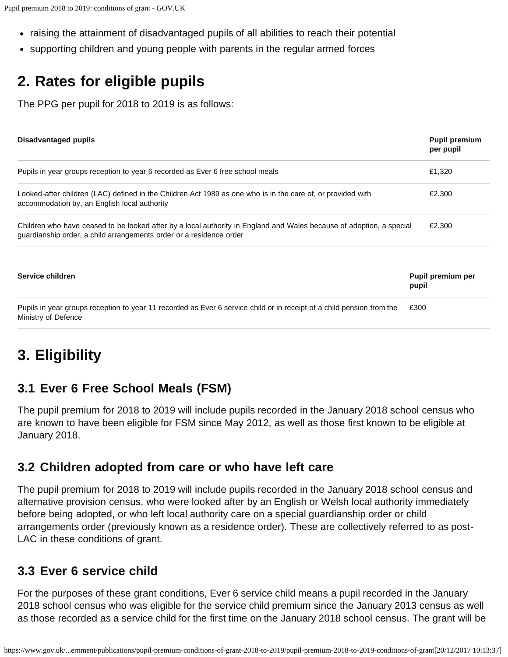- raising the attainment of disadvantaged pupils of all abilities to reach their potential
- supporting children and young people with parents in the regular armed forces

# <span id="page-1-0"></span>**2. Rates for eligible pupils**

The PPG per pupil for 2018 to 2019 is as follows:

| Disadvantaged pupils                                                                                                                                                                        | <b>Pupil premium</b><br>per pupil |
|---------------------------------------------------------------------------------------------------------------------------------------------------------------------------------------------|-----------------------------------|
| Pupils in year groups reception to year 6 recorded as Ever 6 free school meals                                                                                                              | £1,320                            |
| Looked-after children (LAC) defined in the Children Act 1989 as one who is in the care of, or provided with<br>accommodation by, an English local authority                                 | £2,300                            |
| Children who have ceased to be looked after by a local authority in England and Wales because of adoption, a special<br>guardianship order, a child arrangements order or a residence order | £2,300                            |
| Service children                                                                                                                                                                            | Pupil premium per<br>pupil        |
| Pupils in year groups reception to year 11 recorded as Ever 6 service child or in receipt of a child pension from the<br>Ministry of Defence                                                | £300                              |

## <span id="page-1-1"></span>**3. Eligibility**

#### **3.1 Ever 6 Free School Meals (FSM)**

The pupil premium for 2018 to 2019 will include pupils recorded in the January 2018 school census who are known to have been eligible for FSM since May 2012, as well as those first known to be eligible at January 2018.

#### **3.2 Children adopted from care or who have left care**

The pupil premium for 2018 to 2019 will include pupils recorded in the January 2018 school census and alternative provision census, who were looked after by an English or Welsh local authority immediately before being adopted, or who left local authority care on a special guardianship order or child arrangements order (previously known as a residence order). These are collectively referred to as post-LAC in these conditions of grant.

#### **3.3 Ever 6 service child**

For the purposes of these grant conditions, Ever 6 service child means a pupil recorded in the January 2018 school census who was eligible for the service child premium since the January 2013 census as well as those recorded as a service child for the first time on the January 2018 school census. The grant will be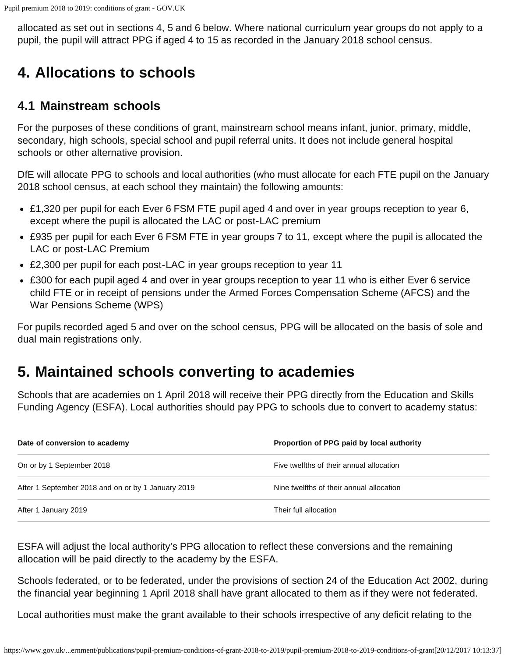allocated as set out in sections 4, 5 and 6 below. Where national curriculum year groups do not apply to a pupil, the pupil will attract PPG if aged 4 to 15 as recorded in the January 2018 school census.

### <span id="page-2-0"></span>**4. Allocations to schools**

#### **4.1 Mainstream schools**

For the purposes of these conditions of grant, mainstream school means infant, junior, primary, middle, secondary, high schools, special school and pupil referral units. It does not include general hospital schools or other alternative provision.

DfE will allocate PPG to schools and local authorities (who must allocate for each FTE pupil on the January 2018 school census, at each school they maintain) the following amounts:

- £1,320 per pupil for each Ever 6 FSM FTE pupil aged 4 and over in year groups reception to year 6, except where the pupil is allocated the LAC or post-LAC premium
- £935 per pupil for each Ever 6 FSM FTE in year groups 7 to 11, except where the pupil is allocated the LAC or post-LAC Premium
- £2,300 per pupil for each post-LAC in year groups reception to year 11
- £300 for each pupil aged 4 and over in year groups reception to year 11 who is either Ever 6 service child FTE or in receipt of pensions under the Armed Forces Compensation Scheme (AFCS) and the War Pensions Scheme (WPS)

For pupils recorded aged 5 and over on the school census, PPG will be allocated on the basis of sole and dual main registrations only.

#### <span id="page-2-1"></span>**5. Maintained schools converting to academies**

Schools that are academies on 1 April 2018 will receive their PPG directly from the Education and Skills Funding Agency (ESFA). Local authorities should pay PPG to schools due to convert to academy status:

| Date of conversion to academy                      | Proportion of PPG paid by local authority |
|----------------------------------------------------|-------------------------------------------|
| On or by 1 September 2018                          | Five twelfths of their annual allocation  |
| After 1 September 2018 and on or by 1 January 2019 | Nine twelfths of their annual allocation  |
| After 1 January 2019                               | Their full allocation                     |

ESFA will adjust the local authority's PPG allocation to reflect these conversions and the remaining allocation will be paid directly to the academy by the ESFA.

Schools federated, or to be federated, under the provisions of section 24 of the Education Act 2002, during the financial year beginning 1 April 2018 shall have grant allocated to them as if they were not federated.

Local authorities must make the grant available to their schools irrespective of any deficit relating to the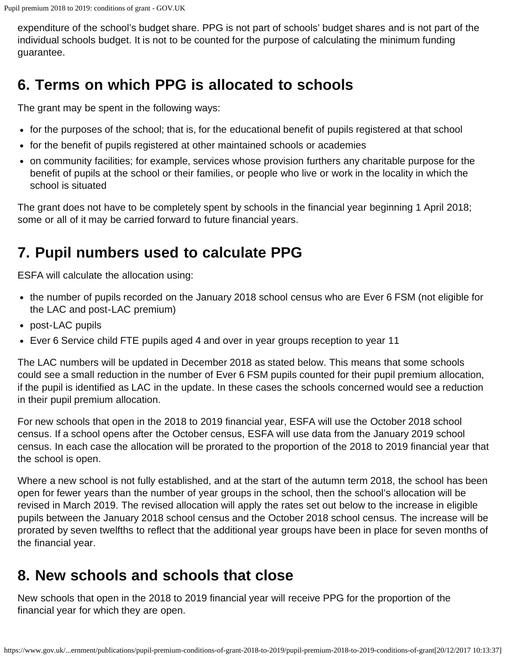expenditure of the school's budget share. PPG is not part of schools' budget shares and is not part of the individual schools budget. It is not to be counted for the purpose of calculating the minimum funding guarantee.

### <span id="page-3-0"></span>**6. Terms on which PPG is allocated to schools**

The grant may be spent in the following ways:

- for the purposes of the school; that is, for the educational benefit of pupils registered at that school
- for the benefit of pupils registered at other maintained schools or academies
- on community facilities; for example, services whose provision furthers any charitable purpose for the benefit of pupils at the school or their families, or people who live or work in the locality in which the school is situated

The grant does not have to be completely spent by schools in the financial year beginning 1 April 2018; some or all of it may be carried forward to future financial years.

### <span id="page-3-1"></span>**7. Pupil numbers used to calculate PPG**

ESFA will calculate the allocation using:

- the number of pupils recorded on the January 2018 school census who are Ever 6 FSM (not eligible for the LAC and post-LAC premium)
- post-LAC pupils
- Ever 6 Service child FTE pupils aged 4 and over in year groups reception to year 11

The LAC numbers will be updated in December 2018 as stated below. This means that some schools could see a small reduction in the number of Ever 6 FSM pupils counted for their pupil premium allocation, if the pupil is identified as LAC in the update. In these cases the schools concerned would see a reduction in their pupil premium allocation.

For new schools that open in the 2018 to 2019 financial year, ESFA will use the October 2018 school census. If a school opens after the October census, ESFA will use data from the January 2019 school census. In each case the allocation will be prorated to the proportion of the 2018 to 2019 financial year that the school is open.

Where a new school is not fully established, and at the start of the autumn term 2018, the school has been open for fewer years than the number of year groups in the school, then the school's allocation will be revised in March 2019. The revised allocation will apply the rates set out below to the increase in eligible pupils between the January 2018 school census and the October 2018 school census. The increase will be prorated by seven twelfths to reflect that the additional year groups have been in place for seven months of the financial year.

### <span id="page-3-2"></span>**8. New schools and schools that close**

New schools that open in the 2018 to 2019 financial year will receive PPG for the proportion of the financial year for which they are open.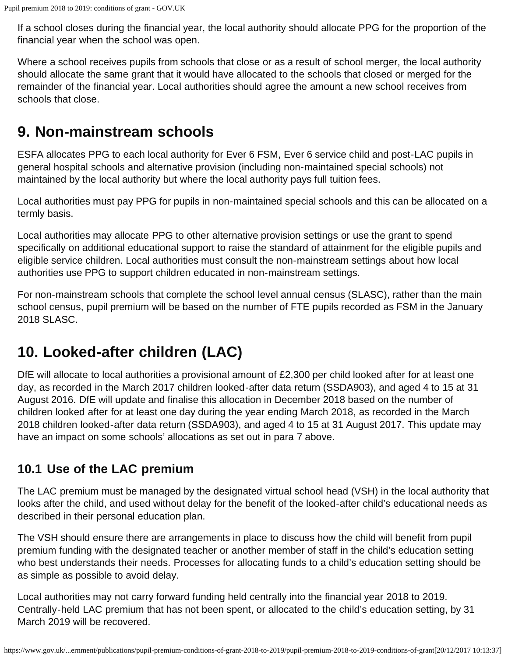If a school closes during the financial year, the local authority should allocate PPG for the proportion of the financial year when the school was open.

Where a school receives pupils from schools that close or as a result of school merger, the local authority should allocate the same grant that it would have allocated to the schools that closed or merged for the remainder of the financial year. Local authorities should agree the amount a new school receives from schools that close.

#### <span id="page-4-0"></span>**9. Non-mainstream schools**

ESFA allocates PPG to each local authority for Ever 6 FSM, Ever 6 service child and post-LAC pupils in general hospital schools and alternative provision (including non-maintained special schools) not maintained by the local authority but where the local authority pays full tuition fees.

Local authorities must pay PPG for pupils in non-maintained special schools and this can be allocated on a termly basis.

Local authorities may allocate PPG to other alternative provision settings or use the grant to spend specifically on additional educational support to raise the standard of attainment for the eligible pupils and eligible service children. Local authorities must consult the non-mainstream settings about how local authorities use PPG to support children educated in non-mainstream settings.

For non-mainstream schools that complete the school level annual census (SLASC), rather than the main school census, pupil premium will be based on the number of FTE pupils recorded as FSM in the January 2018 SLASC.

## <span id="page-4-1"></span>**10. Looked-after children (LAC)**

DfE will allocate to local authorities a provisional amount of £2,300 per child looked after for at least one day, as recorded in the March 2017 children looked-after data return (SSDA903), and aged 4 to 15 at 31 August 2016. DfE will update and finalise this allocation in December 2018 based on the number of children looked after for at least one day during the year ending March 2018, as recorded in the March 2018 children looked-after data return (SSDA903), and aged 4 to 15 at 31 August 2017. This update may have an impact on some schools' allocations as set out in para 7 above.

#### **10.1 Use of the LAC premium**

The LAC premium must be managed by the designated virtual school head (VSH) in the local authority that looks after the child, and used without delay for the benefit of the looked-after child's educational needs as described in their personal education plan.

The VSH should ensure there are arrangements in place to discuss how the child will benefit from pupil premium funding with the designated teacher or another member of staff in the child's education setting who best understands their needs. Processes for allocating funds to a child's education setting should be as simple as possible to avoid delay.

Local authorities may not carry forward funding held centrally into the financial year 2018 to 2019. Centrally-held LAC premium that has not been spent, or allocated to the child's education setting, by 31 March 2019 will be recovered.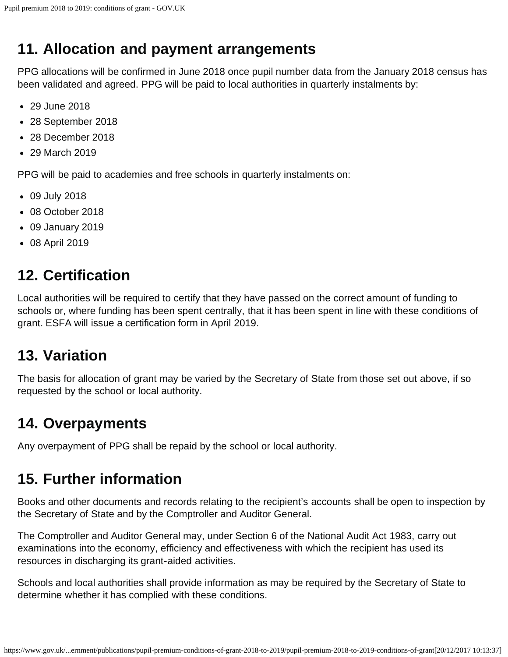## <span id="page-5-0"></span>**11. Allocation and payment arrangements**

PPG allocations will be confirmed in June 2018 once pupil number data from the January 2018 census has been validated and agreed. PPG will be paid to local authorities in quarterly instalments by:

- 29 June 2018
- 28 September 2018
- 28 December 2018
- 29 March 2019

PPG will be paid to academies and free schools in quarterly instalments on:

- 09 July 2018
- 08 October 2018
- 09 January 2019
- 08 April 2019

## <span id="page-5-1"></span>**12. Certification**

Local authorities will be required to certify that they have passed on the correct amount of funding to schools or, where funding has been spent centrally, that it has been spent in line with these conditions of grant. ESFA will issue a certification form in April 2019.

### <span id="page-5-2"></span>**13. Variation**

The basis for allocation of grant may be varied by the Secretary of State from those set out above, if so requested by the school or local authority.

#### <span id="page-5-3"></span>**14. Overpayments**

Any overpayment of PPG shall be repaid by the school or local authority.

### <span id="page-5-4"></span>**15. Further information**

Books and other documents and records relating to the recipient's accounts shall be open to inspection by the Secretary of State and by the Comptroller and Auditor General.

The Comptroller and Auditor General may, under Section 6 of the National Audit Act 1983, carry out examinations into the economy, efficiency and effectiveness with which the recipient has used its resources in discharging its grant-aided activities.

Schools and local authorities shall provide information as may be required by the Secretary of State to determine whether it has complied with these conditions.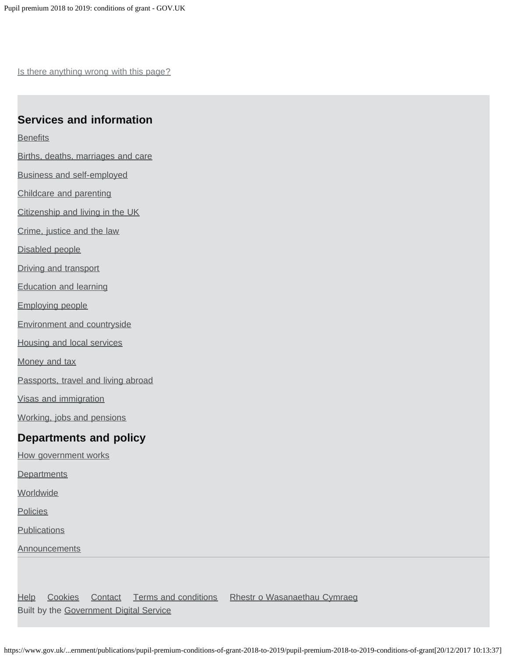Is there anything wrong with this page?

#### **Services and information**

**[Benefits](https://www.gov.uk/browse/benefits)** 

- [Births, deaths, marriages and care](https://www.gov.uk/browse/births-deaths-marriages)
- [Business and self-employed](https://www.gov.uk/browse/business)
- [Childcare and parenting](https://www.gov.uk/browse/childcare-parenting)
- [Citizenship and living in the UK](https://www.gov.uk/browse/citizenship)
- [Crime, justice and the law](https://www.gov.uk/browse/justice)
- [Disabled people](https://www.gov.uk/browse/disabilities)
- [Driving and transport](https://www.gov.uk/browse/driving)
- [Education and learning](https://www.gov.uk/browse/education)
- [Employing people](https://www.gov.uk/browse/employing-people)
- [Environment and countryside](https://www.gov.uk/browse/environment-countryside)
- [Housing and local services](https://www.gov.uk/browse/housing-local-services)
- [Money and tax](https://www.gov.uk/browse/tax)
- [Passports, travel and living abroad](https://www.gov.uk/browse/abroad)
- [Visas and immigration](https://www.gov.uk/browse/visas-immigration)
- [Working, jobs and pensions](https://www.gov.uk/browse/working)

#### **Departments and policy**

- [How government works](https://www.gov.uk/government/how-government-works)
- **[Departments](https://www.gov.uk/government/organisations)**
- **[Worldwide](https://www.gov.uk/world)**
- **[Policies](https://www.gov.uk/government/policies)**
- **[Publications](https://www.gov.uk/government/publications)**
- **[Announcements](https://www.gov.uk/government/announcements)**

[Help](https://www.gov.uk/help) [Cookies](https://www.gov.uk/help/cookies) [Contact](https://www.gov.uk/contact) [Terms and conditions](https://www.gov.uk/help/terms-conditions) [Rhestr o Wasanaethau Cymraeg](https://www.gov.uk/cymraeg) Built by the [Government Digital Service](https://www.gov.uk/government/organisations/government-digital-service)